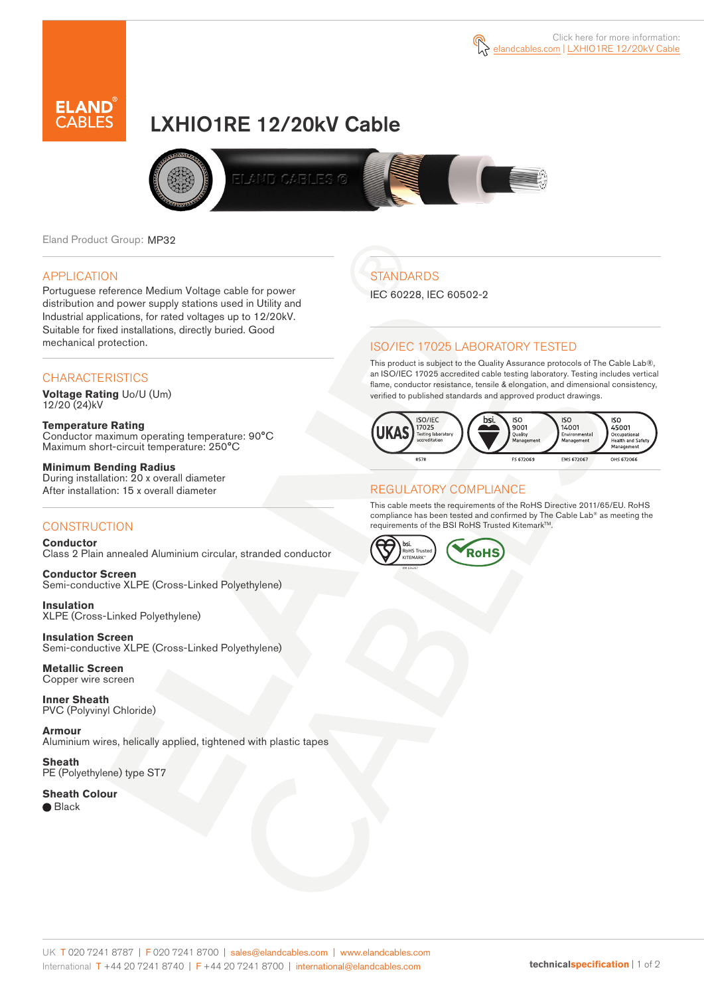



# LXHIO1RE 12/20kV Cable



Eland Product Group: MP32

#### APPLICATION

Portuguese reference Medium Voltage cable for power distribution and power supply stations used in Utility and Industrial applications, for rated voltages up to 12/20kV. Suitable for fixed installations, directly buried. Good mechanical protection.

### **CHARACTERISTICS**

**Voltage Rating** Uo/U (Um) 12/20 (24)kV

**Temperature Rating** Conductor maximum operating temperature: 90°C Maximum short-circuit temperature: 250°C

**Minimum Bending Radius** During installation: 20 x overall diameter After installation: 15 x overall diameter

### **CONSTRUCTION**

**Conductor** Class 2 Plain annealed Aluminium circular, stranded conductor

**Conductor Screen** Semi-conductive XLPE (Cross-Linked Polyethylene)

**Insulation** XLPE (Cross-Linked Polyethylene)

**Insulation Screen** Semi-conductive XLPE (Cross-Linked Polyethylene)

**Metallic Screen**  Copper wire screen

**Inner Sheath** PVC (Polyvinyl Chloride)

**Armour** Aluminium wires, helically applied, tightened with plastic tapes

**Sheath** PE (Polyethylene) type ST7

**Sheath Colour** ● Black

# **STANDARDS**

IEC 60228, IEC 60502-2

### ISO/IEC 17025 LABORATORY TESTED

This product is subject to the Quality Assurance protocols of The Cable Lab®, an ISO/IEC 17025 accredited cable testing laboratory. Testing includes vertical flame, conductor resistance, tensile & elongation, and dimensional consistency, verified to published standards and approved product drawings.



### REGULATORY COMPLIANCE

This cable meets the requirements of the RoHS Directive 2011/65/EU. RoHS compliance has been tested and confirmed by The Cable Lab® as meeting the requirements of the BSI RoHS Trusted Kitemark™.